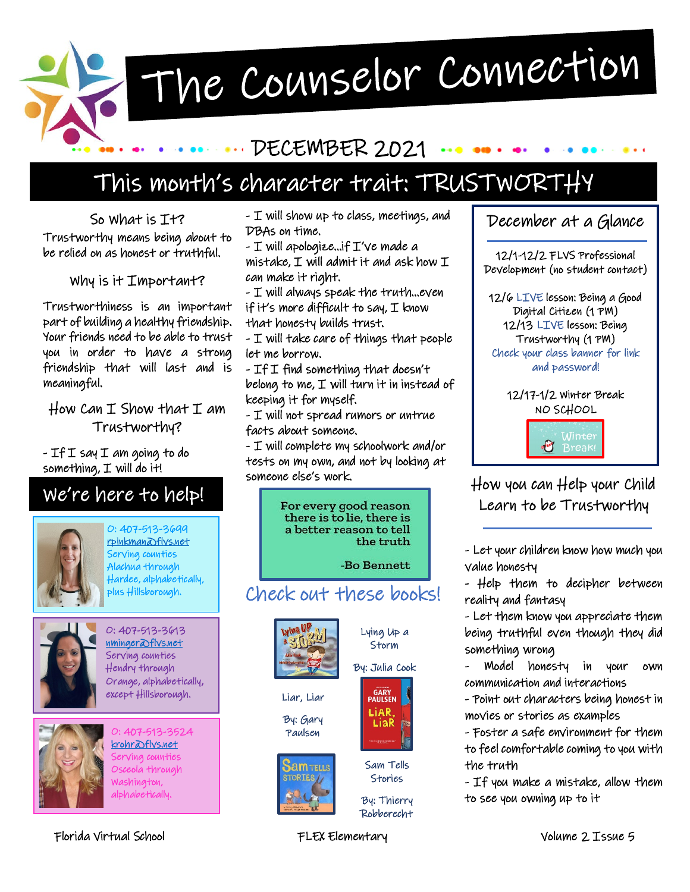The Counselor Connection

### DECEMBER 2021

## This month's character trait: TRUSTWORTHY

So What is It? Trustworthy means being about to be relied on as honest or truthful.

Why is it Important?

Trustworthiness is an important part of building a healthy friendship. Your friends need to be able to trust you in order to have a strong friendship that will last and is meaningful.

How Can  $I$  Show that  $I$  am Trustworthy?

- If I say I am going to do something,  $I$  will do it!

### We're here to help!



O: 407-513-3699 [rpinkman@flvs.net](mailto:rpinkman@flvs.net)  Serving counties Alachua through Hardee, alphabetically, ..<br>plus Hillsborough.



O: 407-513-3613 [nminger@flvs.net](mailto:nminger@flvs.net)  Serving counties Hendry through Orange, alphabetically, except Hillsborough.



O: 407-513-3524 [krohr@flvs.net](mailto:krohr@flvs.net)  Serving counties Osceola through Washington, alphabetically.

- I will show up to class, meetings, and DBAs on time.

- I will apologize…if I've made a mistake, I will admit it and ask how I can make it right.

- I will always speak the truth…even if it's more difficult to say,  $I$  know that honesty builds trust.

- I will take care of things that people let me borrow.

 $-$  If I find something that doesn't belong to me, I will turn it in instead of keeping it for myself.

- I will not spread rumors or untrue facts about someone.

- I will complete my schoolwork and/or tests on my own, and not by looking at someone else's work.





12/6 LIVE lesson: Being a Good Digital Citizen (1 PM) 12/13 LIVE lesson: Being Trustworthy (1 PM) Check your class banner for link and password!

> 12/17-1/2 Winter Break NO SCHOOL



How you can Help your Child Learn to be Trustworthy

- Let your children know how much you value honesty

- Help them to decipher between reality and fantasy

- Let them know you appreciate them being truthful even though they did something wrong

- Model honesty in your own communication and interactions

- Point out characters being honest in movies or stories as examples

- Foster a safe environment for them to feel comfortable coming to you with the truth

- If you make a mistake, allow them to see you owning up to it